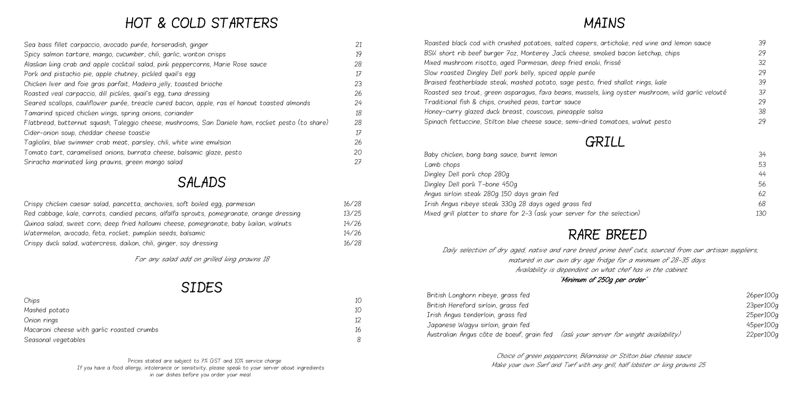# HOT & COLD STARTERS

| Sea bass fillet carpaccio, avocado purée, horseradish, ginger                                     | 21 |
|---------------------------------------------------------------------------------------------------|----|
| Spicy salmon tartare, mango, cucumber, chili, garlic, wonton crisps                               | 19 |
| Alaskan king crab and apple cocktail salad, pink peppercorns, Marie Rose sauce                    | 28 |
| Pork and pistachio pie, apple chutney, pickled quail's egg                                        | 17 |
| Chicken liver and foie gras parfait, Madeira jelly, toasted brioche                               | 23 |
| Roasted veal carpaccio, dill pickles, quail's egg, tuna dressing                                  | 26 |
| Seared scallops, cauliflower purée, treacle cured bacon, apple, ras el hanout toasted almonds     | 24 |
| Tamarind spiced chicken wings, spring onions, coriander                                           | 18 |
| Flatbread, butternut squash, Taleggio cheese, mushrooms, San Daniele ham, rocket pesto (to share) | 28 |
| Cider-onion soup, cheddar cheese toastie                                                          | 17 |
| Tagliolini, blue swimmer crab meat, parsley, chili, white wine emulsion                           | 26 |
| Tomato tart, caramelised onions, burrata cheese, balsamic glaze, pesto                            | 20 |
| Sriracha marinated king prawns, green mango salad                                                 | 27 |

## SALADS

| Crispy chicken caesar salad, pancetta, anchovies, soft boiled egg, parmesan               | 16/28 |
|-------------------------------------------------------------------------------------------|-------|
| Red cabbage, kale, carrots, candied pecans, alfalfa sprouts, pomegranate, orange dressing | 13/25 |
| Quinoa salad, sweet corn, deep fried halloumi cheese, pomegranate, baby kailan, walnuts   | 14/26 |
| Watermelon, avocado, feta, rocket, pumpkin seeds, balsamic                                | 14/26 |
| Crispy duck salad, watercress, daikon, chili, ginger, soy dressing                        | 16/28 |

For any salad add on grilled king prawns 18

### SIDES

| Chips                                      | 10 |
|--------------------------------------------|----|
| Mashed potato                              | 10 |
| Onion rings                                | 12 |
| Macaroni cheese with garlic roasted crumbs | 16 |
| Seasonal vegetables                        | R  |

Baby chicken, bang bang sauce, burnt lemon Lamb chops 53 States of the contract of the contract of the contract of the contract of the contract of the contract of the contract of the contract of the contract of the contract of the contract of the contract of the co Dingley Dell pork chop 280g Dingley Dell pork T-bone 450g Angus sirloin steak 280g 150 days grain fed 62 Irish Angus ribeye steak 330g 28 days aged grass fed Mixed grill platter to share for 2-3 (ask your server for the selection) 130

# MAINS

| Roasted black cod with crushed potatoes, salted capers, artichoke, red wine and lemon sauce        | 39 |
|----------------------------------------------------------------------------------------------------|----|
| BSK short rib beef burger 7oz, Monterey Jack cheese, smoked bacon ketchup, chips                   | 29 |
| Mixed mushroom risotto, aged Parmesan, deep fried enoki, frissé                                    | 32 |
| Slow roasted Dingley Dell pork belly, spiced apple purée                                           | 29 |
| Braised featherblade steak, mashed potato, sage pesto, fried shallot rings, kale                   | 39 |
| Roasted sea trout, green asparagus, fava beans, mussels, king oyster mushroom, wild garlic velouté | 37 |
| Traditional fish & chips, crushed peas, tartar sauce                                               | 29 |
| Honey-curry glazed duck breast, couscous, pineapple salsa                                          | 38 |
| Spinach fettuccine, Stilton blue cheese sauce, semi-dried tomatoes, walnut pesto                   | 29 |
| <i>GRILL</i>                                                                                       |    |
| Baby chicken, bang bang sauce, burnt lemon                                                         | 34 |
| Lamb chops                                                                                         | 53 |
| Dingley Dell pork chop 280g                                                                        | 44 |
| Dingley Dell pork T-bone 450g                                                                      | 56 |
| Angus sirloin steak 280g 150 days grain fed                                                        | 62 |
| Irish Angus ribeye steak 330g 28 days aged grass fed                                               | 68 |
|                                                                                                    |    |

### RARE BREED

 Daily selection of dry aged, native and rare breed prime beef cuts, sourced from our artisan suppliers, matured in our own dry age fridge for a minimum of 28-35 days. Availability is dependent on what chef has in the cabinet.

"Minimum of 250g per order"

| British Longhorn ribeye, grass fed                                                  | 26per100c |
|-------------------------------------------------------------------------------------|-----------|
| British Hereford sirloin, grass fed                                                 | 23per100g |
| Irish Angus tenderloin, grass fed                                                   | 25per100c |
| Japanese Wagyu sirloin, grain fed                                                   | 45per100c |
| Australian Angus côte de boeuf, grain fed (ask your server for weight availability) | 22per100g |

Choice of green peppercorn, Béarnaise or Stilton blue cheese sauce Make your own Surf and Turf with any grill, half lobster or king prawns 25